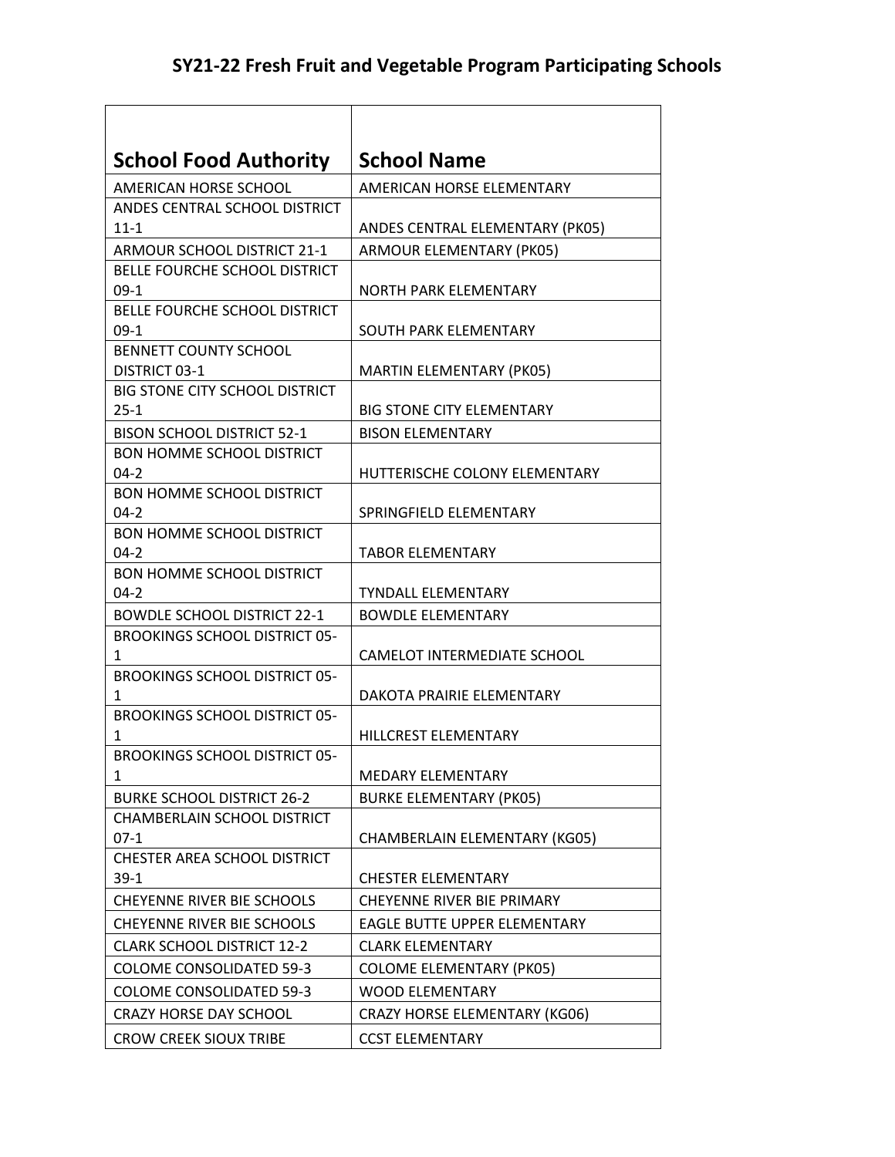| <b>School Food Authority</b>                 | <b>School Name</b>                  |
|----------------------------------------------|-------------------------------------|
| AMERICAN HORSE SCHOOL                        | AMERICAN HORSE ELEMENTARY           |
| ANDES CENTRAL SCHOOL DISTRICT                |                                     |
| $11 - 1$                                     | ANDES CENTRAL ELEMENTARY (PK05)     |
| ARMOUR SCHOOL DISTRICT 21-1                  | ARMOUR ELEMENTARY (PK05)            |
| BELLE FOURCHE SCHOOL DISTRICT                |                                     |
| $09-1$                                       | <b>NORTH PARK ELEMENTARY</b>        |
| BELLE FOURCHE SCHOOL DISTRICT                |                                     |
| $09-1$                                       | SOUTH PARK ELEMENTARY               |
| <b>BENNETT COUNTY SCHOOL</b>                 |                                     |
| DISTRICT 03-1                                | <b>MARTIN ELEMENTARY (PK05)</b>     |
| <b>BIG STONE CITY SCHOOL DISTRICT</b>        |                                     |
| $25 - 1$                                     | <b>BIG STONE CITY ELEMENTARY</b>    |
| <b>BISON SCHOOL DISTRICT 52-1</b>            | <b>BISON ELEMENTARY</b>             |
| <b>BON HOMME SCHOOL DISTRICT</b>             | HUTTERISCHE COLONY ELEMENTARY       |
| $04 - 2$<br><b>BON HOMME SCHOOL DISTRICT</b> |                                     |
| $04-2$                                       | SPRINGFIELD ELEMENTARY              |
| <b>BON HOMME SCHOOL DISTRICT</b>             |                                     |
| $04-2$                                       | <b>TABOR ELEMENTARY</b>             |
| <b>BON HOMME SCHOOL DISTRICT</b>             |                                     |
| 04-2                                         | <b>TYNDALL ELEMENTARY</b>           |
| <b>BOWDLE SCHOOL DISTRICT 22-1</b>           | <b>BOWDLE ELEMENTARY</b>            |
| <b>BROOKINGS SCHOOL DISTRICT 05-</b>         |                                     |
| 1                                            | CAMELOT INTERMEDIATE SCHOOL         |
| <b>BROOKINGS SCHOOL DISTRICT 05-</b>         |                                     |
| 1                                            | DAKOTA PRAIRIE ELEMENTARY           |
| <b>BROOKINGS SCHOOL DISTRICT 05-</b>         |                                     |
| 1                                            | HILLCREST ELEMENTARY                |
| <b>BROOKINGS SCHOOL DISTRICT 05-</b>         |                                     |
| 1                                            | <b>MEDARY ELEMENTARY</b>            |
| <b>BURKE SCHOOL DISTRICT 26-2</b>            | <b>BURKE ELEMENTARY (PK05)</b>      |
| <b>CHAMBERLAIN SCHOOL DISTRICT</b>           |                                     |
| $07-1$                                       | CHAMBERLAIN ELEMENTARY (KG05)       |
| CHESTER AREA SCHOOL DISTRICT                 |                                     |
| $39-1$                                       | <b>CHESTER ELEMENTARY</b>           |
| <b>CHEYENNE RIVER BIE SCHOOLS</b>            | CHEYENNE RIVER BIE PRIMARY          |
| CHEYENNE RIVER BIE SCHOOLS                   | <b>EAGLE BUTTE UPPER ELEMENTARY</b> |
| <b>CLARK SCHOOL DISTRICT 12-2</b>            | <b>CLARK ELEMENTARY</b>             |
| <b>COLOME CONSOLIDATED 59-3</b>              | <b>COLOME ELEMENTARY (PK05)</b>     |
| <b>COLOME CONSOLIDATED 59-3</b>              | <b>WOOD ELEMENTARY</b>              |
| <b>CRAZY HORSE DAY SCHOOL</b>                | CRAZY HORSE ELEMENTARY (KG06)       |
| <b>CROW CREEK SIOUX TRIBE</b>                | <b>CCST ELEMENTARY</b>              |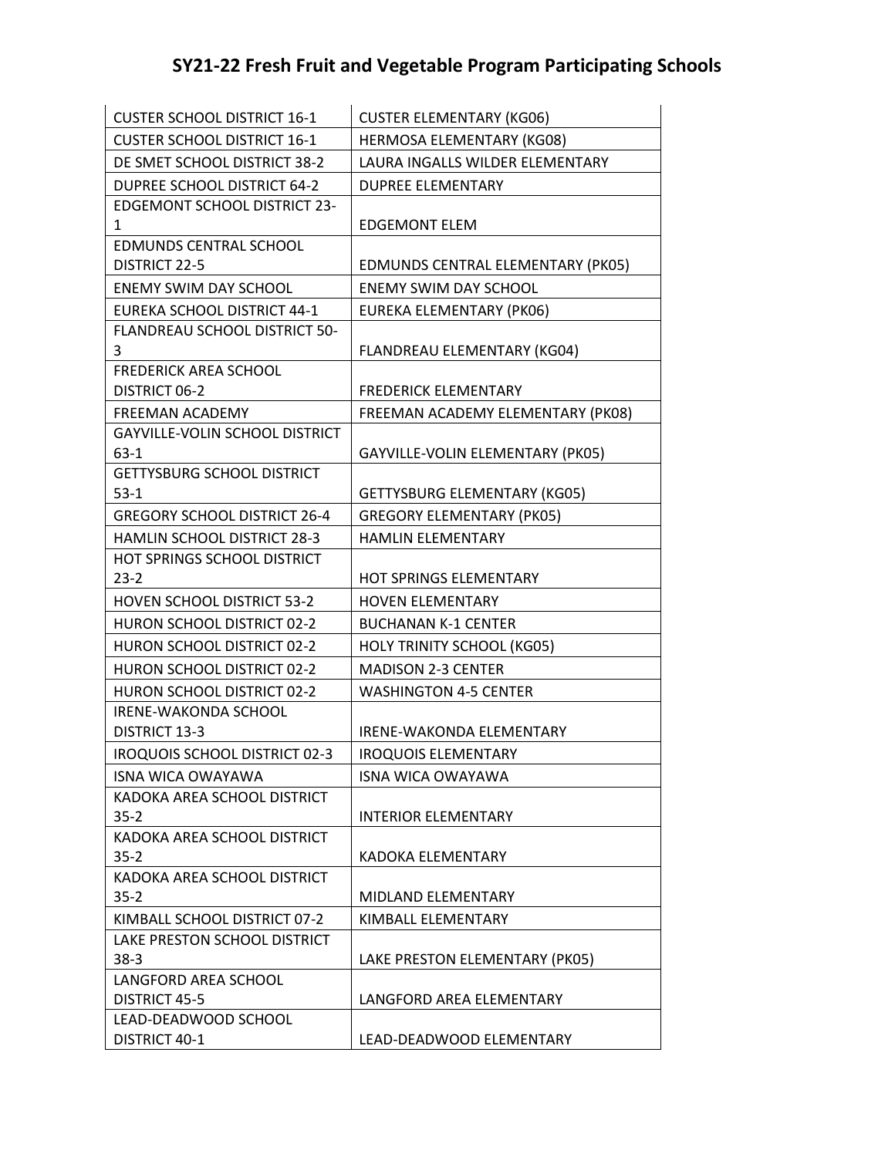| <b>CUSTER SCHOOL DISTRICT 16-1</b>      | <b>CUSTER ELEMENTARY (KG06)</b>   |
|-----------------------------------------|-----------------------------------|
| <b>CUSTER SCHOOL DISTRICT 16-1</b>      | HERMOSA ELEMENTARY (KG08)         |
| DE SMET SCHOOL DISTRICT 38-2            | LAURA INGALLS WILDER ELEMENTARY   |
| <b>DUPREE SCHOOL DISTRICT 64-2</b>      | <b>DUPREE ELEMENTARY</b>          |
| <b>EDGEMONT SCHOOL DISTRICT 23-</b>     |                                   |
| 1                                       | <b>EDGEMONT ELEM</b>              |
| <b>EDMUNDS CENTRAL SCHOOL</b>           |                                   |
| <b>DISTRICT 22-5</b>                    | EDMUNDS CENTRAL ELEMENTARY (PK05) |
| <b>ENEMY SWIM DAY SCHOOL</b>            | <b>ENEMY SWIM DAY SCHOOL</b>      |
| EUREKA SCHOOL DISTRICT 44-1             | <b>EUREKA ELEMENTARY (PK06)</b>   |
| FLANDREAU SCHOOL DISTRICT 50-<br>3      | FLANDREAU ELEMENTARY (KG04)       |
| <b>FREDERICK AREA SCHOOL</b>            |                                   |
| DISTRICT 06-2                           | <b>FREDERICK ELEMENTARY</b>       |
| <b>FREEMAN ACADEMY</b>                  | FREEMAN ACADEMY ELEMENTARY (PK08) |
| <b>GAYVILLE-VOLIN SCHOOL DISTRICT</b>   |                                   |
| 63-1                                    | GAYVILLE-VOLIN ELEMENTARY (PK05)  |
| <b>GETTYSBURG SCHOOL DISTRICT</b>       |                                   |
| $53 - 1$                                | GETTYSBURG ELEMENTARY (KG05)      |
| <b>GREGORY SCHOOL DISTRICT 26-4</b>     | <b>GREGORY ELEMENTARY (PK05)</b>  |
| HAMLIN SCHOOL DISTRICT 28-3             | HAMLIN ELEMENTARY                 |
| HOT SPRINGS SCHOOL DISTRICT             |                                   |
| $23 - 2$                                | HOT SPRINGS ELEMENTARY            |
| <b>HOVEN SCHOOL DISTRICT 53-2</b>       | <b>HOVEN ELEMENTARY</b>           |
| HURON SCHOOL DISTRICT 02-2              | <b>BUCHANAN K-1 CENTER</b>        |
| HURON SCHOOL DISTRICT 02-2              | <b>HOLY TRINITY SCHOOL (KG05)</b> |
| HURON SCHOOL DISTRICT 02-2              | <b>MADISON 2-3 CENTER</b>         |
| HURON SCHOOL DISTRICT 02-2              | <b>WASHINGTON 4-5 CENTER</b>      |
| <b>IRENE-WAKONDA SCHOOL</b>             |                                   |
| <b>DISTRICT 13-3</b>                    | <b>IRENE-WAKONDA ELEMENTARY</b>   |
| <b>IROQUOIS SCHOOL DISTRICT 02-3</b>    | <b>IROQUOIS ELEMENTARY</b>        |
| ISNA WICA OWAYAWA                       | ISNA WICA OWAYAWA                 |
| KADOKA AREA SCHOOL DISTRICT             |                                   |
| $35 - 2$<br>KADOKA AREA SCHOOL DISTRICT | <b>INTERIOR ELEMENTARY</b>        |
| $35 - 2$                                | KADOKA ELEMENTARY                 |
| KADOKA AREA SCHOOL DISTRICT             |                                   |
| $35 - 2$                                | MIDLAND ELEMENTARY                |
| KIMBALL SCHOOL DISTRICT 07-2            | KIMBALL ELEMENTARY                |
| LAKE PRESTON SCHOOL DISTRICT            |                                   |
| $38-3$                                  | LAKE PRESTON ELEMENTARY (PK05)    |
| LANGFORD AREA SCHOOL                    |                                   |
| <b>DISTRICT 45-5</b>                    | LANGFORD AREA ELEMENTARY          |
| LEAD-DEADWOOD SCHOOL                    |                                   |
| DISTRICT 40-1                           | LEAD-DEADWOOD ELEMENTARY          |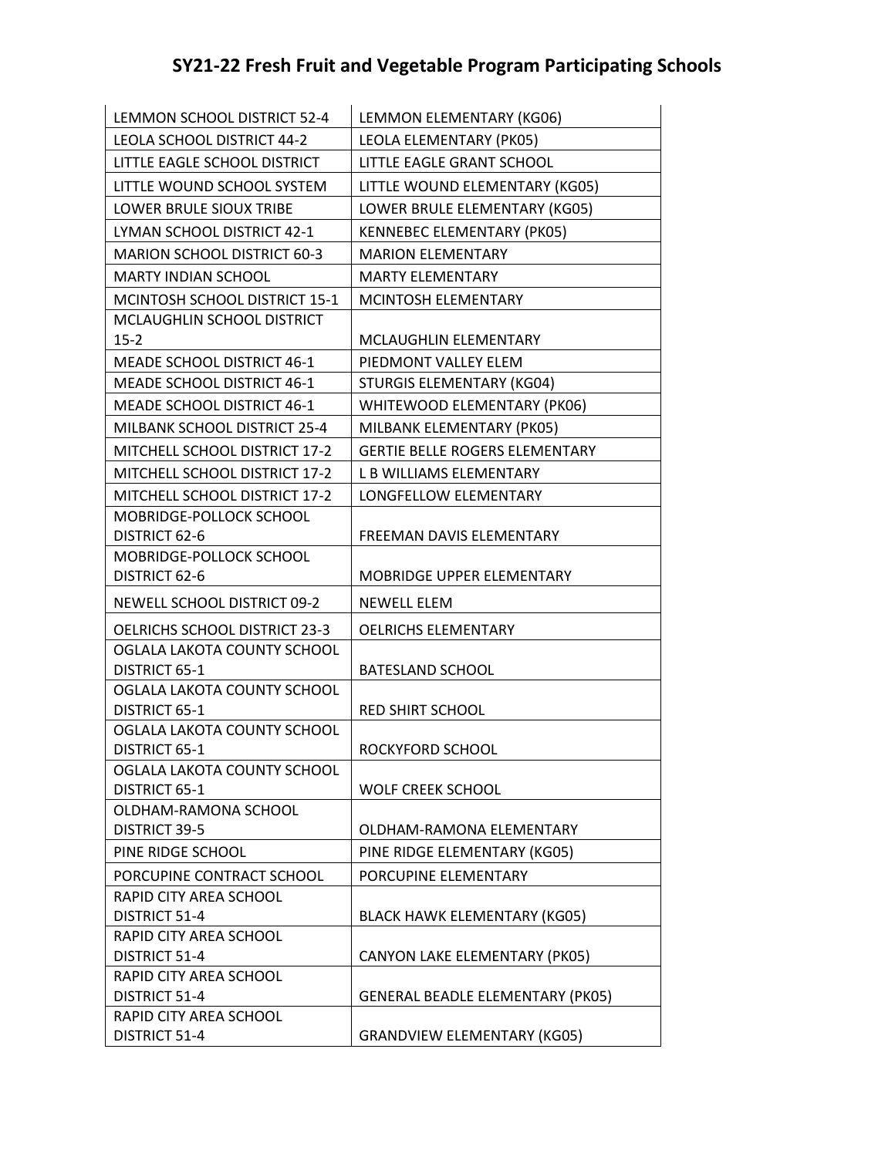| LEMMON SCHOOL DISTRICT 52-4                  | LEMMON ELEMENTARY (KG06)                |
|----------------------------------------------|-----------------------------------------|
| <b>LEOLA SCHOOL DISTRICT 44-2</b>            | LEOLA ELEMENTARY (PK05)                 |
| LITTLE EAGLE SCHOOL DISTRICT                 | LITTLE EAGLE GRANT SCHOOL               |
| LITTLE WOUND SCHOOL SYSTEM                   | LITTLE WOUND ELEMENTARY (KG05)          |
| LOWER BRULE SIOUX TRIBE                      | LOWER BRULE ELEMENTARY (KG05)           |
| LYMAN SCHOOL DISTRICT 42-1                   | KENNEBEC ELEMENTARY (PK05)              |
| <b>MARION SCHOOL DISTRICT 60-3</b>           | <b>MARION ELEMENTARY</b>                |
| <b>MARTY INDIAN SCHOOL</b>                   | <b>MARTY ELEMENTARY</b>                 |
| <b>MCINTOSH SCHOOL DISTRICT 15-1</b>         | MCINTOSH ELEMENTARY                     |
| MCLAUGHLIN SCHOOL DISTRICT                   |                                         |
| $15 - 2$                                     | <b>MCLAUGHLIN ELEMENTARY</b>            |
| <b>MEADE SCHOOL DISTRICT 46-1</b>            | PIEDMONT VALLEY ELEM                    |
| <b>MEADE SCHOOL DISTRICT 46-1</b>            | STURGIS ELEMENTARY (KG04)               |
| MEADE SCHOOL DISTRICT 46-1                   | WHITEWOOD ELEMENTARY (PK06)             |
| MILBANK SCHOOL DISTRICT 25-4                 | MILBANK ELEMENTARY (PK05)               |
| MITCHELL SCHOOL DISTRICT 17-2                | <b>GERTIE BELLE ROGERS ELEMENTARY</b>   |
| MITCHELL SCHOOL DISTRICT 17-2                | L B WILLIAMS ELEMENTARY                 |
| MITCHELL SCHOOL DISTRICT 17-2                | LONGFELLOW ELEMENTARY                   |
| MOBRIDGE-POLLOCK SCHOOL                      |                                         |
| DISTRICT 62-6                                | FREEMAN DAVIS ELEMENTARY                |
| MOBRIDGE-POLLOCK SCHOOL<br>DISTRICT 62-6     | <b>MOBRIDGE UPPER ELEMENTARY</b>        |
| NEWELL SCHOOL DISTRICT 09-2                  | <b>NEWELL ELEM</b>                      |
| OELRICHS SCHOOL DISTRICT 23-3                | <b>OELRICHS ELEMENTARY</b>              |
| OGLALA LAKOTA COUNTY SCHOOL                  |                                         |
| DISTRICT 65-1                                | <b>BATESLAND SCHOOL</b>                 |
| OGLALA LAKOTA COUNTY SCHOOL<br>DISTRICT 65-1 |                                         |
| OGLALA LAKOTA COUNTY SCHOOL                  | <b>RED SHIRT SCHOOL</b>                 |
| DISTRICT 65-1                                | ROCKYFORD SCHOOL                        |
| OGLALA LAKOTA COUNTY SCHOOL                  |                                         |
| DISTRICT 65-1                                | WOLF CREEK SCHOOL                       |
| OLDHAM-RAMONA SCHOOL                         |                                         |
| DISTRICT 39-5                                | OLDHAM-RAMONA ELEMENTARY                |
| PINE RIDGE SCHOOL                            | PINE RIDGE ELEMENTARY (KG05)            |
| PORCUPINE CONTRACT SCHOOL                    | PORCUPINE ELEMENTARY                    |
| RAPID CITY AREA SCHOOL                       |                                         |
| DISTRICT 51-4                                |                                         |
|                                              | <b>BLACK HAWK ELEMENTARY (KG05)</b>     |
| RAPID CITY AREA SCHOOL                       |                                         |
| DISTRICT 51-4<br>RAPID CITY AREA SCHOOL      | CANYON LAKE ELEMENTARY (PK05)           |
| DISTRICT 51-4                                | <b>GENERAL BEADLE ELEMENTARY (PK05)</b> |
| RAPID CITY AREA SCHOOL                       |                                         |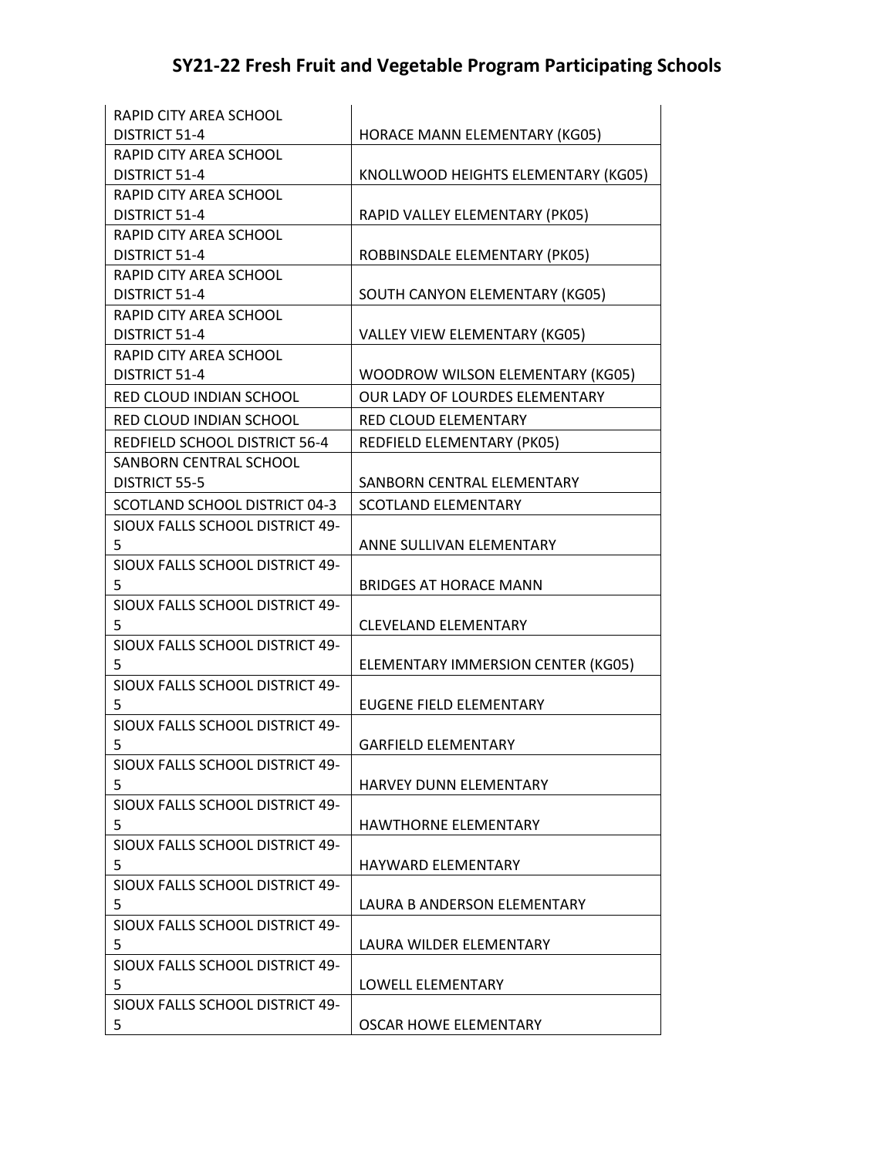| RAPID CITY AREA SCHOOL          |                                     |
|---------------------------------|-------------------------------------|
| DISTRICT 51-4                   | HORACE MANN ELEMENTARY (KG05)       |
| RAPID CITY AREA SCHOOL          |                                     |
| DISTRICT 51-4                   | KNOLLWOOD HEIGHTS ELEMENTARY (KG05) |
| RAPID CITY AREA SCHOOL          |                                     |
| DISTRICT 51-4                   | RAPID VALLEY ELEMENTARY (PK05)      |
| RAPID CITY AREA SCHOOL          |                                     |
| DISTRICT 51-4                   | ROBBINSDALE ELEMENTARY (PK05)       |
| RAPID CITY AREA SCHOOL          |                                     |
| <b>DISTRICT 51-4</b>            | SOUTH CANYON ELEMENTARY (KG05)      |
| RAPID CITY AREA SCHOOL          |                                     |
| <b>DISTRICT 51-4</b>            | VALLEY VIEW ELEMENTARY (KG05)       |
| RAPID CITY AREA SCHOOL          |                                     |
| DISTRICT 51-4                   | WOODROW WILSON ELEMENTARY (KG05)    |
| RED CLOUD INDIAN SCHOOL         | OUR LADY OF LOURDES ELEMENTARY      |
| RED CLOUD INDIAN SCHOOL         | <b>RED CLOUD ELEMENTARY</b>         |
| REDFIELD SCHOOL DISTRICT 56-4   | REDFIELD ELEMENTARY (PK05)          |
| SANBORN CENTRAL SCHOOL          |                                     |
| <b>DISTRICT 55-5</b>            | SANBORN CENTRAL ELEMENTARY          |
| SCOTLAND SCHOOL DISTRICT 04-3   | <b>SCOTLAND ELEMENTARY</b>          |
| SIOUX FALLS SCHOOL DISTRICT 49- |                                     |
| 5                               | ANNE SULLIVAN ELEMENTARY            |
| SIOUX FALLS SCHOOL DISTRICT 49- |                                     |
| 5                               | <b>BRIDGES AT HORACE MANN</b>       |
| SIOUX FALLS SCHOOL DISTRICT 49- |                                     |
| 5                               | <b>CLEVELAND ELEMENTARY</b>         |
| SIOUX FALLS SCHOOL DISTRICT 49- |                                     |
| 5                               | ELEMENTARY IMMERSION CENTER (KG05)  |
| SIOUX FALLS SCHOOL DISTRICT 49- |                                     |
| 5                               | <b>EUGENE FIELD ELEMENTARY</b>      |
| SIOUX FALLS SCHOOL DISTRICT 49- |                                     |
| 5                               | <b>GARFIELD ELEMENTARY</b>          |
| SIOUX FALLS SCHOOL DISTRICT 49- |                                     |
| 5                               | HARVEY DUNN ELEMENTARY              |
| SIOUX FALLS SCHOOL DISTRICT 49- |                                     |
| 5                               | <b>HAWTHORNE ELEMENTARY</b>         |
| SIOUX FALLS SCHOOL DISTRICT 49- |                                     |
| 5                               | <b>HAYWARD ELEMENTARY</b>           |
| SIOUX FALLS SCHOOL DISTRICT 49- |                                     |
| 5                               | LAURA B ANDERSON ELEMENTARY         |
| SIOUX FALLS SCHOOL DISTRICT 49- |                                     |
| 5                               | LAURA WILDER ELEMENTARY             |
| SIOUX FALLS SCHOOL DISTRICT 49- |                                     |
| 5.                              | LOWELL ELEMENTARY                   |
| SIOUX FALLS SCHOOL DISTRICT 49- |                                     |
| 5                               | OSCAR HOWE ELEMENTARY               |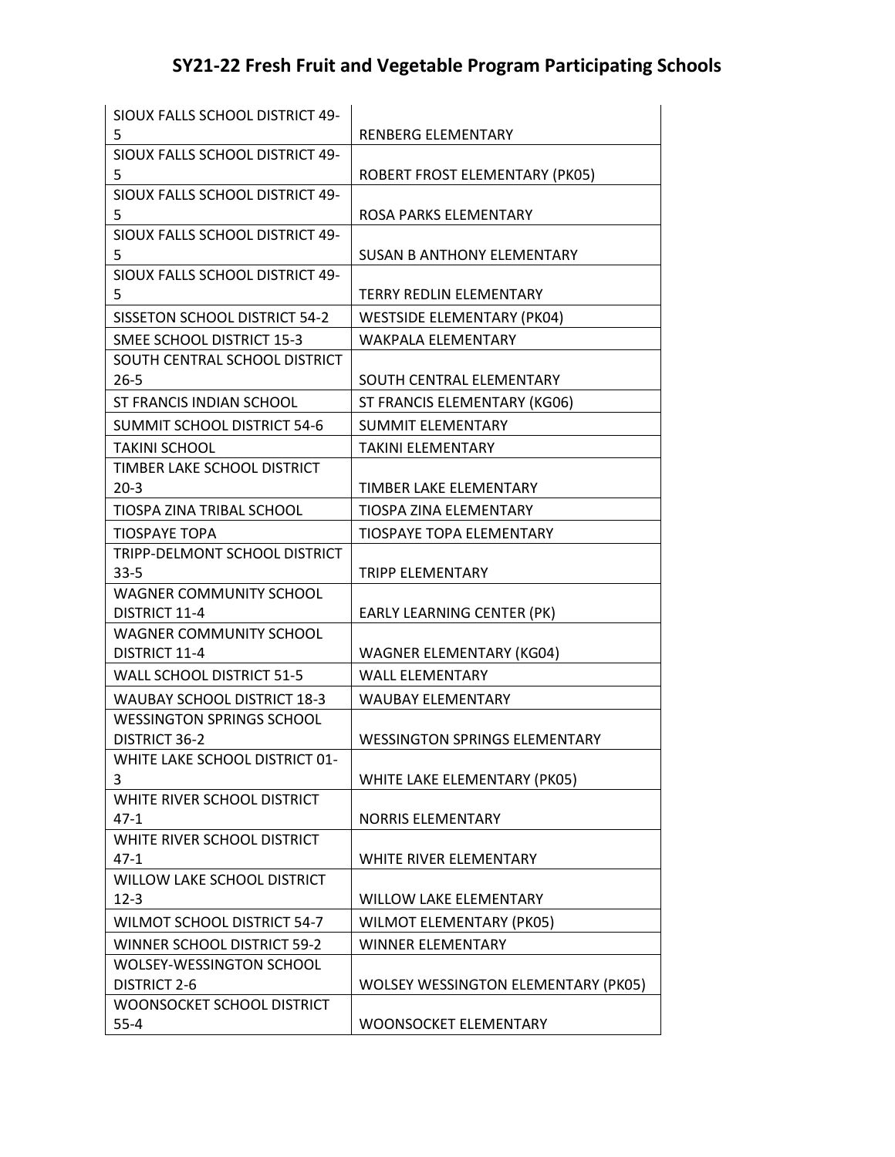| SIOUX FALLS SCHOOL DISTRICT 49-       |                                            |
|---------------------------------------|--------------------------------------------|
| 5                                     | RENBERG ELEMENTARY                         |
| SIOUX FALLS SCHOOL DISTRICT 49-       |                                            |
| 5                                     | ROBERT FROST ELEMENTARY (PK05)             |
| SIOUX FALLS SCHOOL DISTRICT 49-       |                                            |
| 5                                     | ROSA PARKS ELEMENTARY                      |
| SIOUX FALLS SCHOOL DISTRICT 49-<br>5  | <b>SUSAN B ANTHONY ELEMENTARY</b>          |
| SIOUX FALLS SCHOOL DISTRICT 49-       |                                            |
| 5                                     | <b>TERRY REDLIN ELEMENTARY</b>             |
| SISSETON SCHOOL DISTRICT 54-2         | <b>WESTSIDE ELEMENTARY (PK04)</b>          |
| SMEE SCHOOL DISTRICT 15-3             | <b>WAKPALA ELEMENTARY</b>                  |
| SOUTH CENTRAL SCHOOL DISTRICT         |                                            |
| $26 - 5$                              | SOUTH CENTRAL ELEMENTARY                   |
| ST FRANCIS INDIAN SCHOOL              | ST FRANCIS ELEMENTARY (KG06)               |
| <b>SUMMIT SCHOOL DISTRICT 54-6</b>    | <b>SUMMIT ELEMENTARY</b>                   |
| <b>TAKINI SCHOOL</b>                  | <b>TAKINI ELEMENTARY</b>                   |
| TIMBER LAKE SCHOOL DISTRICT           |                                            |
| $20-3$                                | TIMBER LAKE ELEMENTARY                     |
| TIOSPA ZINA TRIBAL SCHOOL             | TIOSPA ZINA ELEMENTARY                     |
| <b>TIOSPAYE TOPA</b>                  | <b>TIOSPAYE TOPA ELEMENTARY</b>            |
| TRIPP-DELMONT SCHOOL DISTRICT         |                                            |
| $33 - 5$                              | <b>TRIPP ELEMENTARY</b>                    |
| <b>WAGNER COMMUNITY SCHOOL</b>        |                                            |
| <b>DISTRICT 11-4</b>                  | EARLY LEARNING CENTER (PK)                 |
| <b>WAGNER COMMUNITY SCHOOL</b>        |                                            |
| DISTRICT 11-4                         | <b>WAGNER ELEMENTARY (KG04)</b>            |
| WALL SCHOOL DISTRICT 51-5             | <b>WALL ELEMENTARY</b>                     |
| <b>WAUBAY SCHOOL DISTRICT 18-3</b>    | <b>WAUBAY ELEMENTARY</b>                   |
| WESSINGTON SPRINGS SCHOOL             |                                            |
| <b>DISTRICT 36-2</b>                  | <b>WESSINGTON SPRINGS ELEMENTARY</b>       |
| WHITE LAKE SCHOOL DISTRICT 01-        |                                            |
| 3                                     | WHITE LAKE ELEMENTARY (PK05)               |
| WHITE RIVER SCHOOL DISTRICT<br>$47-1$ | <b>NORRIS ELEMENTARY</b>                   |
| WHITE RIVER SCHOOL DISTRICT           |                                            |
| $47-1$                                | WHITE RIVER ELEMENTARY                     |
| WILLOW LAKE SCHOOL DISTRICT           |                                            |
| $12 - 3$                              | <b>WILLOW LAKE ELEMENTARY</b>              |
| <b>WILMOT SCHOOL DISTRICT 54-7</b>    | WILMOT ELEMENTARY (PK05)                   |
| WINNER SCHOOL DISTRICT 59-2           | <b>WINNER ELEMENTARY</b>                   |
| WOLSEY-WESSINGTON SCHOOL              |                                            |
| <b>DISTRICT 2-6</b>                   | <b>WOLSEY WESSINGTON ELEMENTARY (PK05)</b> |
| WOONSOCKET SCHOOL DISTRICT            |                                            |
| $55 - 4$                              | <b>WOONSOCKET ELEMENTARY</b>               |